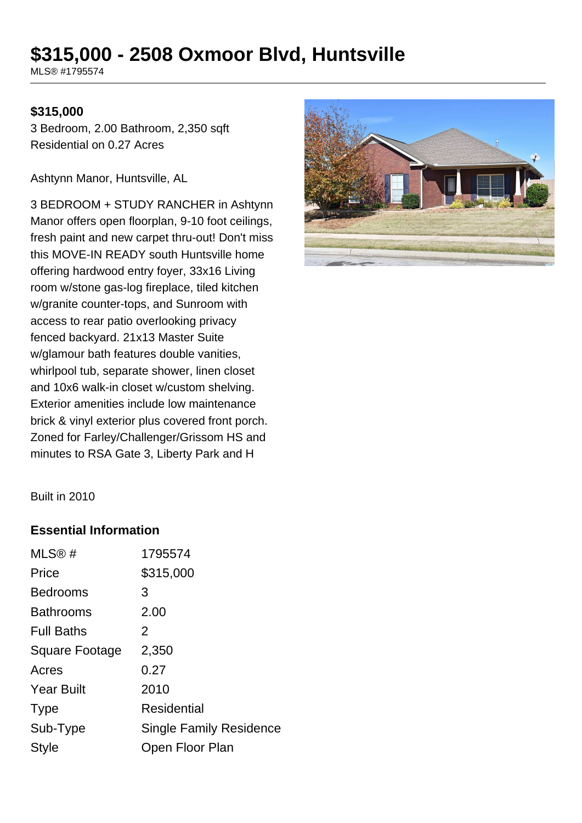# **\$315,000 - 2508 Oxmoor Blvd, Huntsville**

MLS® #1795574

#### **\$315,000**

3 Bedroom, 2.00 Bathroom, 2,350 sqft Residential on 0.27 Acres

Ashtynn Manor, Huntsville, AL

3 BEDROOM + STUDY RANCHER in Ashtynn Manor offers open floorplan, 9-10 foot ceilings, fresh paint and new carpet thru-out! Don't miss this MOVE-IN READY south Huntsville home offering hardwood entry foyer, 33x16 Living room w/stone gas-log fireplace, tiled kitchen w/granite counter-tops, and Sunroom with access to rear patio overlooking privacy fenced backyard. 21x13 Master Suite w/glamour bath features double vanities, whirlpool tub, separate shower, linen closet and 10x6 walk-in closet w/custom shelving. Exterior amenities include low maintenance brick & vinyl exterior plus covered front porch. Zoned for Farley/Challenger/Grissom HS and minutes to RSA Gate 3, Liberty Park and H



Built in 2010

#### **Essential Information**

| MLS@#                 | 1795574                        |
|-----------------------|--------------------------------|
| Price                 | \$315,000                      |
| <b>Bedrooms</b>       | 3                              |
| <b>Bathrooms</b>      | 2.00                           |
| <b>Full Baths</b>     | 2                              |
| <b>Square Footage</b> | 2,350                          |
| Acres                 | 0.27                           |
| <b>Year Built</b>     | 2010                           |
| <b>Type</b>           | Residential                    |
| Sub-Type              | <b>Single Family Residence</b> |
| <b>Style</b>          | Open Floor Plan                |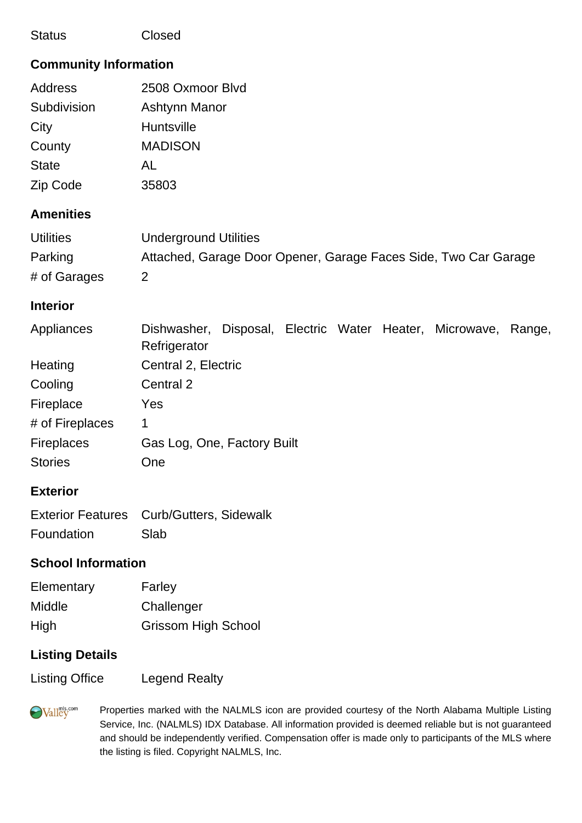| Closed |
|--------|
|        |

#### **Community Information**

| Address      | 2508 Oxmoor Blvd |
|--------------|------------------|
| Subdivision  | Ashtynn Manor    |
| City         | Huntsville       |
| County       | <b>MADISON</b>   |
| <b>State</b> | AL               |
| Zip Code     | 35803            |

## **Amenities**

| <b>Utilities</b> | Underground Utilities                                           |
|------------------|-----------------------------------------------------------------|
| Parking          | Attached, Garage Door Opener, Garage Faces Side, Two Car Garage |
| # of Garages     |                                                                 |

#### **Interior**

| Appliances        | Dishwasher,                 | Disposal, Electric Water Heater, Microwave, |  | Range, |
|-------------------|-----------------------------|---------------------------------------------|--|--------|
|                   | Refrigerator                |                                             |  |        |
| Heating           | Central 2, Electric         |                                             |  |        |
| Cooling           | Central 2                   |                                             |  |        |
| Fireplace         | Yes                         |                                             |  |        |
| # of Fireplaces   | 1                           |                                             |  |        |
| <b>Fireplaces</b> | Gas Log, One, Factory Built |                                             |  |        |
| <b>Stories</b>    | <b>One</b>                  |                                             |  |        |

# **Exterior**

|            | Exterior Features Curb/Gutters, Sidewalk |
|------------|------------------------------------------|
| Foundation | Slab                                     |

## **School Information**

| Elementary | Farley                     |
|------------|----------------------------|
| Middle     | Challenger                 |
| High       | <b>Grissom High School</b> |

## **Listing Details**

Listing Office Legend Realty

**Walley** 

Properties marked with the NALMLS icon are provided courtesy of the North Alabama Multiple Listing Service, Inc. (NALMLS) IDX Database. All information provided is deemed reliable but is not guaranteed and should be independently verified. Compensation offer is made only to participants of the MLS where the listing is filed. Copyright NALMLS, Inc.